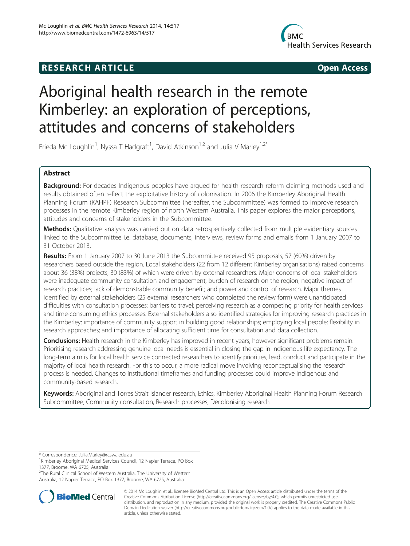## **RESEARCH ARTICLE Example 2014 12:25 Open Access**



# Aboriginal health research in the remote Kimberley: an exploration of perceptions, attitudes and concerns of stakeholders

Frieda Mc Loughlin<sup>1</sup>, Nyssa T Hadgraft<sup>1</sup>, David Atkinson<sup>1,2</sup> and Julia V Marley<sup>1,2\*</sup>

## Abstract

Background: For decades Indigenous peoples have argued for health research reform claiming methods used and results obtained often reflect the exploitative history of colonisation. In 2006 the Kimberley Aboriginal Health Planning Forum (KAHPF) Research Subcommittee (hereafter, the Subcommittee) was formed to improve research processes in the remote Kimberley region of north Western Australia. This paper explores the major perceptions, attitudes and concerns of stakeholders in the Subcommittee.

Methods: Qualitative analysis was carried out on data retrospectively collected from multiple evidentiary sources linked to the Subcommittee i.e. database, documents, interviews, review forms and emails from 1 January 2007 to 31 October 2013.

Results: From 1 January 2007 to 30 June 2013 the Subcommittee received 95 proposals, 57 (60%) driven by researchers based outside the region. Local stakeholders (22 from 12 different Kimberley organisations) raised concerns about 36 (38%) projects, 30 (83%) of which were driven by external researchers. Major concerns of local stakeholders were inadequate community consultation and engagement; burden of research on the region; negative impact of research practices; lack of demonstrable community benefit; and power and control of research. Major themes identified by external stakeholders (25 external researchers who completed the review form) were unanticipated difficulties with consultation processes; barriers to travel; perceiving research as a competing priority for health services and time-consuming ethics processes. External stakeholders also identified strategies for improving research practices in the Kimberley: importance of community support in building good relationships; employing local people; flexibility in research approaches; and importance of allocating sufficient time for consultation and data collection.

Conclusions: Health research in the Kimberley has improved in recent years, however significant problems remain. Prioritising research addressing genuine local needs is essential in closing the gap in Indigenous life expectancy. The long-term aim is for local health service connected researchers to identify priorities, lead, conduct and participate in the majority of local health research. For this to occur, a more radical move involving reconceptualising the research process is needed. Changes to institutional timeframes and funding processes could improve Indigenous and community-based research.

Keywords: Aboriginal and Torres Strait Islander research, Ethics, Kimberley Aboriginal Health Planning Forum Research Subcommittee, Community consultation, Research processes, Decolonising research

\* Correspondence: [Julia.Marley@rcswa.edu.au](mailto:Julia.Marley@rcswa.edu.au) <sup>1</sup>

<sup>2</sup>The Rural Clinical School of Western Australia, The University of Western Australia, 12 Napier Terrace, PO Box 1377, Broome, WA 6725, Australia



© 2014 Mc Loughlin et al.; licensee BioMed Central Ltd. This is an Open Access article distributed under the terms of the Creative Commons Attribution License (<http://creativecommons.org/licenses/by/4.0>), which permits unrestricted use, distribution, and reproduction in any medium, provided the original work is properly credited. The Creative Commons Public Domain Dedication waiver [\(http://creativecommons.org/publicdomain/zero/1.0/\)](http://creativecommons.org/publicdomain/zero/1.0/) applies to the data made available in this article, unless otherwise stated.

 $1$ Kimberley Aboriginal Medical Services Council, 12 Napier Terrace, PO Box 1377, Broome, WA 6725, Australia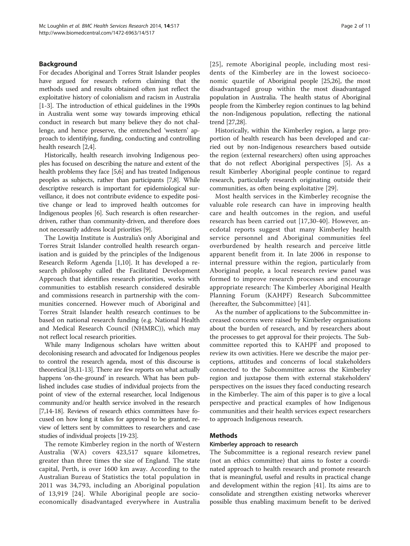## Background

For decades Aboriginal and Torres Strait Islander peoples have argued for research reform claiming that the methods used and results obtained often just reflect the exploitative history of colonialism and racism in Australia [[1-3\]](#page-9-0). The introduction of ethical guidelines in the 1990s in Australia went some way towards improving ethical conduct in research but many believe they do not challenge, and hence preserve, the entrenched 'western' approach to identifying, funding, conducting and controlling health research [[2,4\]](#page-9-0).

Historically, health research involving Indigenous peoples has focused on describing the nature and extent of the health problems they face [\[5,6\]](#page-9-0) and has treated Indigenous peoples as subjects, rather than participants [\[7,8\]](#page-9-0). While descriptive research is important for epidemiological surveillance, it does not contribute evidence to expedite positive change or lead to improved health outcomes for Indigenous peoples [\[6\]](#page-9-0). Such research is often researcherdriven, rather than community-driven, and therefore does not necessarily address local priorities [\[9](#page-9-0)].

The Lowitja Institute is Australia's only Aboriginal and Torres Strait Islander controlled health research organisation and is guided by the principles of the Indigenous Research Reform Agenda [\[1,10\]](#page-9-0). It has developed a research philosophy called the Facilitated Development Approach that identifies research priorities, works with communities to establish research considered desirable and commissions research in partnership with the communities concerned. However much of Aboriginal and Torres Strait Islander health research continues to be based on national research funding (e.g. National Health and Medical Research Council (NHMRC)), which may not reflect local research priorities.

While many Indigenous scholars have written about decolonising research and advocated for Indigenous peoples to control the research agenda, most of this discourse is theoretical [\[8,11](#page-9-0)-[13](#page-9-0)]. There are few reports on what actually happens 'on-the-ground' in research. What has been published includes case studies of individual projects from the point of view of the external researcher, local Indigenous community and/or health service involved in the research [[7,14-18\]](#page-9-0). Reviews of research ethics committees have focused on how long it takes for approval to be granted, review of letters sent by committees to researchers and case studies of individual projects [[19](#page-9-0)-[23\]](#page-9-0).

The remote Kimberley region in the north of Western Australia (WA) covers 423,517 square kilometres, greater than three times the size of England. The state capital, Perth, is over 1600 km away. According to the Australian Bureau of Statistics the total population in 2011 was 34,793, including an Aboriginal population of 13,919 [[24](#page-9-0)]. While Aboriginal people are socioeconomically disadvantaged everywhere in Australia [[25](#page-9-0)], remote Aboriginal people, including most residents of the Kimberley are in the lowest socioeconomic quartile of Aboriginal people [\[25,26](#page-9-0)], the most disadvantaged group within the most disadvantaged population in Australia. The health status of Aboriginal people from the Kimberley region continues to lag behind the non-Indigenous population, reflecting the national trend [[27,28](#page-9-0)].

Historically, within the Kimberley region, a large proportion of health research has been developed and carried out by non-Indigenous researchers based outside the region (external researchers) often using approaches that do not reflect Aboriginal perspectives [\[5](#page-9-0)]. As a result Kimberley Aboriginal people continue to regard research, particularly research originating outside their communities, as often being exploitative [\[29](#page-9-0)].

Most health services in the Kimberley recognise the valuable role research can have in improving health care and health outcomes in the region, and useful research has been carried out [[17](#page-9-0),[30-40](#page-10-0)]. However, anecdotal reports suggest that many Kimberley health service personnel and Aboriginal communities feel overburdened by health research and perceive little apparent benefit from it. In late 2006 in response to internal pressure within the region, particularly from Aboriginal people, a local research review panel was formed to improve research processes and encourage appropriate research: The Kimberley Aboriginal Health Planning Forum (KAHPF) Research Subcommittee (hereafter, the Subcommittee) [[41](#page-10-0)].

As the number of applications to the Subcommittee increased concerns were raised by Kimberley organisations about the burden of research, and by researchers about the processes to get approval for their projects. The Subcommittee reported this to KAHPF and proposed to review its own activities. Here we describe the major perceptions, attitudes and concerns of local stakeholders connected to the Subcommittee across the Kimberley region and juxtapose them with external stakeholders' perspectives on the issues they faced conducting research in the Kimberley. The aim of this paper is to give a local perspective and practical examples of how Indigenous communities and their health services expect researchers to approach Indigenous research.

## Methods

## Kimberley approach to research

The Subcommittee is a regional research review panel (not an ethics committee) that aims to foster a coordinated approach to health research and promote research that is meaningful, useful and results in practical change and development within the region [[41\]](#page-10-0). Its aims are to consolidate and strengthen existing networks wherever possible thus enabling maximum benefit to be derived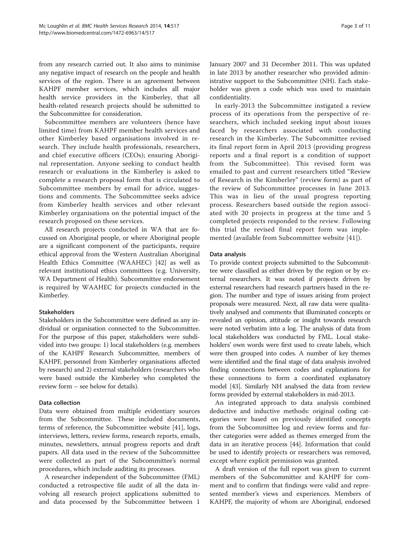from any research carried out. It also aims to minimise any negative impact of research on the people and health services of the region. There is an agreement between KAHPF member services, which includes all major health service providers in the Kimberley, that all health-related research projects should be submitted to the Subcommittee for consideration.

Subcommittee members are volunteers (hence have limited time) from KAHPF member health services and other Kimberley based organisations involved in research. They include health professionals, researchers, and chief executive officers (CEOs); ensuring Aboriginal representation. Anyone seeking to conduct health research or evaluations in the Kimberley is asked to complete a research proposal form that is circulated to Subcommittee members by email for advice, suggestions and comments. The Subcommittee seeks advice from Kimberley health services and other relevant Kimberley organisations on the potential impact of the research proposed on these services.

All research projects conducted in WA that are focussed on Aboriginal people, or where Aboriginal people are a significant component of the participants, require ethical approval from the Western Australian Aboriginal Health Ethics Committee (WAAHEC) [[42\]](#page-10-0) as well as relevant institutional ethics committees (e.g. University, WA Department of Health). Subcommittee endorsement is required by WAAHEC for projects conducted in the Kimberley.

## Stakeholders

Stakeholders in the Subcommittee were defined as any individual or organisation connected to the Subcommittee. For the purpose of this paper, stakeholders were subdivided into two groups: 1) local stakeholders (e.g. members of the KAHPF Research Subcommittee, members of KAHPF, personnel from Kimberley organisations affected by research) and 2) external stakeholders (researchers who were based outside the Kimberley who completed the review form – see below for details).

## Data collection

Data were obtained from multiple evidentiary sources from the Subcommittee. These included documents, terms of reference, the Subcommittee website [[41](#page-10-0)], logs, interviews, letters, review forms, research reports, emails, minutes, newsletters, annual progress reports and draft papers. All data used in the review of the Subcommittee were collected as part of the Subcommittee's normal procedures, which include auditing its processes.

A researcher independent of the Subcommittee (FML) conducted a retrospective file audit of all the data involving all research project applications submitted to and data processed by the Subcommittee between 1

January 2007 and 31 December 2011. This was updated in late 2013 by another researcher who provided administrative support to the Subcommittee (NH). Each stakeholder was given a code which was used to maintain confidentiality.

In early-2013 the Subcommittee instigated a review process of its operations from the perspective of researchers, which included seeking input about issues faced by researchers associated with conducting research in the Kimberley. The Subcommittee revised its final report form in April 2013 (providing progress reports and a final report is a condition of support from the Subcommittee). This revised form was emailed to past and current researchers titled "Review of Research in the Kimberley" (review form) as part of the review of Subcommittee processes in June 2013. This was in lieu of the usual progress reporting process. Researchers based outside the region associated with 20 projects in progress at the time and 5 completed projects responded to the review. Following this trial the revised final report form was implemented (available from Subcommittee website [[41\]](#page-10-0)).

## Data analysis

To provide context projects submitted to the Subcommittee were classified as either driven by the region or by external researchers. It was noted if projects driven by external researchers had research partners based in the region. The number and type of issues arising from project proposals were measured. Next, all raw data were qualitatively analysed and comments that illuminated concepts or revealed an opinion, attitude or insight towards research were noted verbatim into a log. The analysis of data from local stakeholders was conducted by FML. Local stakeholders' own words were first used to create labels, which were then grouped into codes. A number of key themes were identified and the final stage of data analysis involved finding connections between codes and explanations for these connections to form a coordinated explanatory model [[43](#page-10-0)]. Similarly NH analysed the data from review forms provided by external stakeholders in mid-2013.

An integrated approach to data analysis combined deductive and inductive methods: original coding categories were based on previously identified concepts from the Subcommittee log and review forms and further categories were added as themes emerged from the data in an iterative process [[44](#page-10-0)]. Information that could be used to identify projects or researchers was removed, except where explicit permission was granted.

A draft version of the full report was given to current members of the Subcommittee and KAHPF for comment and to confirm that findings were valid and represented member's views and experiences. Members of KAHPF, the majority of whom are Aboriginal, endorsed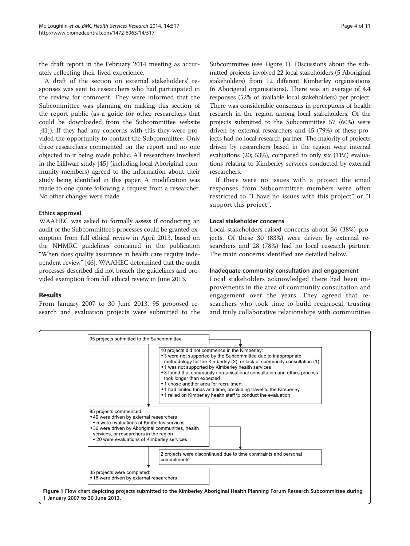the draft report in the February 2014 meeting as accurately reflecting their lived experience.

A draft of the section on external stakeholders' responses was sent to researchers who had participated in the review for comment. They were informed that the Subcommittee was planning on making this section of the report public (as a guide for other researchers that could be downloaded from the Subcommittee website [[41](#page-10-0)]). If they had any concerns with this they were provided the opportunity to contact the Subcommittee. Only three researchers commented on the report and no one objected to it being made public. All researchers involved in the Lililwan study [[45](#page-10-0)] (including local Aboriginal community members) agreed to the information about their study being identified in this paper. A modification was made to one quote following a request from a researcher. No other changes were made.

## Ethics approval

WAAHEC was asked to formally assess if conducting an audit of the Subcommittee's processes could be granted exemption from full ethical review in April 2013, based on the NHMRC guidelines contained in the publication "When does quality assurance in health care require independent review" [\[46\]](#page-10-0). WAAHEC determined that the audit processes described did not breach the guidelines and provided exemption from full ethical review in June 2013.

## Results

From January 2007 to 30 June 2013, 95 proposed research and evaluation projects were submitted to the

Subcommittee (see Figure 1). Discussions about the submitted projects involved 22 local stakeholders (5 Aboriginal stakeholders) from 12 different Kimberley organisations (6 Aboriginal organisations). There was an average of 4.4 responses (52% of available local stakeholders) per project. There was considerable consensus in perceptions of health research in the region among local stakeholders. Of the projects submitted to the Subcommittee 57 (60%) were driven by external researchers and 45 (79%) of these projects had no local research partner. The majority of projects driven by researchers based in the region were internal evaluations (20; 53%), compared to only six (11%) evaluations relating to Kimberley services conducted by external researchers.

If there were no issues with a project the email responses from Subcommittee members were often restricted to "I have no issues with this project" or "I support this project".

## Local stakeholder concerns

Local stakeholders raised concerns about 36 (38%) projects. Of these 30 (83%) were driven by external researchers and 28 (78%) had no local research partner. The main concerns identified are detailed below.

### Inadequate community consultation and engagement

Local stakeholders acknowledged there had been improvements in the area of community consultation and engagement over the years. They agreed that researchers who took time to build reciprocal, trusting and truly collaborative relationships with communities

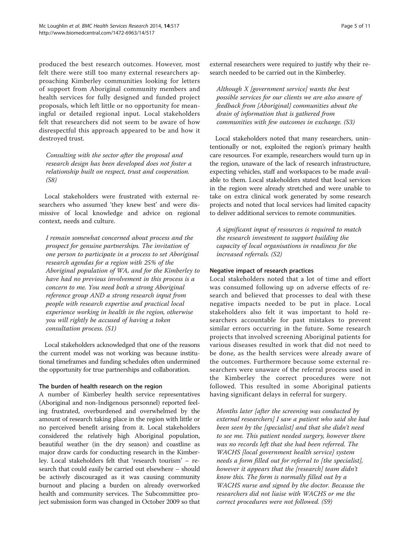produced the best research outcomes. However, most felt there were still too many external researchers approaching Kimberley communities looking for letters of support from Aboriginal community members and health services for fully designed and funded project proposals, which left little or no opportunity for meaningful or detailed regional input. Local stakeholders felt that researchers did not seem to be aware of how disrespectful this approach appeared to be and how it destroyed trust.

Consulting with the sector after the proposal and research design has been developed does not foster a relationship built on respect, trust and cooperation. (S8)

Local stakeholders were frustrated with external researchers who assumed 'they knew best' and were dismissive of local knowledge and advice on regional context, needs and culture.

I remain somewhat concerned about process and the prospect for genuine partnerships. The invitation of one person to participate in a process to set Aboriginal research agendas for a region with 25% of the Aboriginal population of WA, and for the Kimberley to have had no previous involvement in this process is a concern to me. You need both a strong Aboriginal reference group AND a strong research input from people with research expertise and practical local experience working in health in the region, otherwise you will rightly be accused of having a token consultation process. (S1)

Local stakeholders acknowledged that one of the reasons the current model was not working was because institutional timeframes and funding schedules often undermined the opportunity for true partnerships and collaboration.

## The burden of health research on the region

A number of Kimberley health service representatives (Aboriginal and non-Indigenous personnel) reported feeling frustrated, overburdened and overwhelmed by the amount of research taking place in the region with little or no perceived benefit arising from it. Local stakeholders considered the relatively high Aboriginal population, beautiful weather (in the dry season) and coastline as major draw cards for conducting research in the Kimberley. Local stakeholders felt that 'research tourism' – research that could easily be carried out elsewhere – should be actively discouraged as it was causing community burnout and placing a burden on already overworked health and community services. The Subcommittee project submission form was changed in October 2009 so that external researchers were required to justify why their research needed to be carried out in the Kimberley.

Although X [government service] wants the best possible services for our clients we are also aware of feedback from [Aboriginal] communities about the drain of information that is gathered from communities with few outcomes in exchange. (S3)

Local stakeholders noted that many researchers, unintentionally or not, exploited the region's primary health care resources. For example, researchers would turn up in the region, unaware of the lack of research infrastructure, expecting vehicles, staff and workspaces to be made available to them. Local stakeholders stated that local services in the region were already stretched and were unable to take on extra clinical work generated by some research projects and noted that local services had limited capacity to deliver additional services to remote communities.

A significant input of resources is required to match the research investment to support building the capacity of local organisations in readiness for the increased referrals. (S2)

## Negative impact of research practices

Local stakeholders noted that a lot of time and effort was consumed following up on adverse effects of research and believed that processes to deal with these negative impacts needed to be put in place. Local stakeholders also felt it was important to hold researchers accountable for past mistakes to prevent similar errors occurring in the future. Some research projects that involved screening Aboriginal patients for various diseases resulted in work that did not need to be done, as the health services were already aware of the outcomes. Furthermore because some external researchers were unaware of the referral process used in the Kimberley the correct procedures were not followed. This resulted in some Aboriginal patients having significant delays in referral for surgery.

Months later [after the screening was conducted by external researchers] I saw a patient who said she had been seen by the [specialist] and that she didn't need to see me. This patient needed surgery, however there was no records left that she had been referred. The WACHS [local government health service] system needs a form filled out for referral to [the specialist], however it appears that the [research] team didn't know this. The form is normally filled out by a WACHS nurse and signed by the doctor. Because the researchers did not liaise with WACHS or me the correct procedures were not followed. (S9)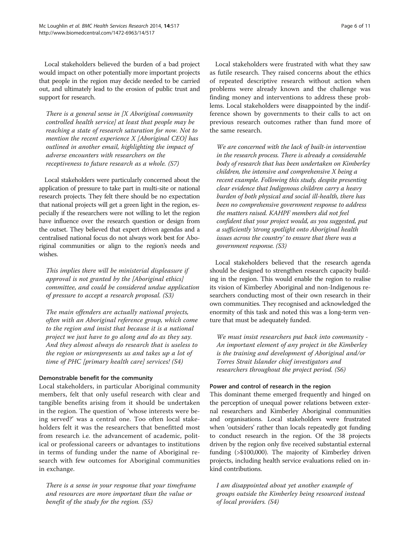Local stakeholders believed the burden of a bad project would impact on other potentially more important projects that people in the region may decide needed to be carried out, and ultimately lead to the erosion of public trust and support for research.

There is a general sense in  $[X$  Aboriginal community controlled health service] at least that people may be reaching a state of research saturation for now. Not to mention the recent experience  $X$  [Aboriginal CEO] has outlined in another email, highlighting the impact of adverse encounters with researchers on the receptiveness to future research as a whole. (S7)

Local stakeholders were particularly concerned about the application of pressure to take part in multi-site or national research projects. They felt there should be no expectation that national projects will get a green light in the region, especially if the researchers were not willing to let the region have influence over the research question or design from the outset. They believed that expert driven agendas and a centralised national focus do not always work best for Aboriginal communities or align to the region's needs and wishes.

This implies there will be ministerial displeasure if approval is not granted by the [Aboriginal ethics] committee, and could be considered undue application of pressure to accept a research proposal. (S3)

The main offenders are actually national projects, often with an Aboriginal reference group, which come to the region and insist that because it is a national project we just have to go along and do as they say. And they almost always do research that is useless to the region or misrepresents us and takes up a lot of time of PHC [primary health care] services! (S4)

## Demonstrable benefit for the community

Local stakeholders, in particular Aboriginal community members, felt that only useful research with clear and tangible benefits arising from it should be undertaken in the region. The question of 'whose interests were being served?' was a central one. Too often local stakeholders felt it was the researchers that benefitted most from research i.e. the advancement of academic, political or professional careers or advantages to institutions in terms of funding under the name of Aboriginal research with few outcomes for Aboriginal communities in exchange.

There is a sense in your response that your timeframe and resources are more important than the value or benefit of the study for the region. (S5)

Local stakeholders were frustrated with what they saw as futile research. They raised concerns about the ethics of repeated descriptive research without action when problems were already known and the challenge was finding money and interventions to address these problems. Local stakeholders were disappointed by the indifference shown by governments to their calls to act on previous research outcomes rather than fund more of the same research.

We are concerned with the lack of built-in intervention in the research process. There is already a considerable body of research that has been undertaken on Kimberley children, the intensive and comprehensive X being a recent example. Following this study, despite presenting clear evidence that Indigenous children carry a heavy burden of both physical and social ill-health, there has been no comprehensive government response to address the matters raised. KAHPF members did not feel confident that your project would, as you suggested, put a sufficiently 'strong spotlight onto Aboriginal health issues across the country' to ensure that there was a government response. (S3)

Local stakeholders believed that the research agenda should be designed to strengthen research capacity building in the region. This would enable the region to realise its vision of Kimberley Aboriginal and non-Indigenous researchers conducting most of their own research in their own communities. They recognised and acknowledged the enormity of this task and noted this was a long-term venture that must be adequately funded.

We must insist researchers put back into community - An important element of any project in the Kimberley is the training and development of Aboriginal and/or Torres Strait Islander chief investigators and researchers throughout the project period. (S6)

#### Power and control of research in the region

This dominant theme emerged frequently and hinged on the perception of unequal power relations between external researchers and Kimberley Aboriginal communities and organisations. Local stakeholders were frustrated when 'outsiders' rather than locals repeatedly got funding to conduct research in the region. Of the 38 projects driven by the region only five received substantial external funding (>\$100,000). The majority of Kimberley driven projects, including health service evaluations relied on inkind contributions.

I am disappointed about yet another example of groups outside the Kimberley being resourced instead of local providers. (S4)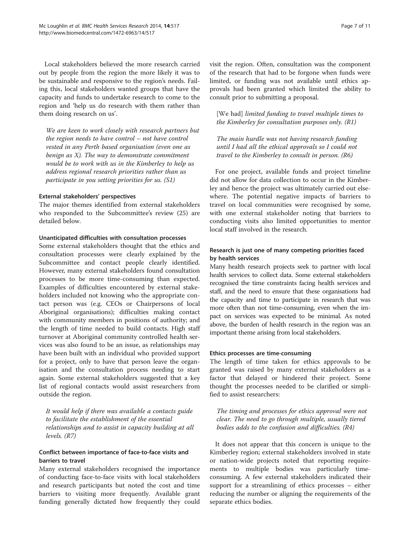Local stakeholders believed the more research carried out by people from the region the more likely it was to be sustainable and responsive to the region's needs. Failing this, local stakeholders wanted groups that have the capacity and funds to undertake research to come to the region and 'help us do research with them rather than them doing research on us'.

We are keen to work closely with research partners but the region needs to have control – not have control vested in any Perth based organisation (even one as benign as X). The way to demonstrate commitment would be to work with us in the Kimberley to help us address regional research priorities rather than us participate in you setting priorities for us. (S1)

## External stakeholders' perspectives

The major themes identified from external stakeholders who responded to the Subcommittee's review (25) are detailed below.

### Unanticipated difficulties with consultation processes

Some external stakeholders thought that the ethics and consultation processes were clearly explained by the Subcommittee and contact people clearly identified. However, many external stakeholders found consultation processes to be more time-consuming than expected. Examples of difficulties encountered by external stakeholders included not knowing who the appropriate contact person was (e.g. CEOs or Chairpersons of local Aboriginal organisations); difficulties making contact with community members in positions of authority; and the length of time needed to build contacts. High staff turnover at Aboriginal community controlled health services was also found to be an issue, as relationships may have been built with an individual who provided support for a project, only to have that person leave the organisation and the consultation process needing to start again. Some external stakeholders suggested that a key list of regional contacts would assist researchers from outside the region.

It would help if there was available a contacts guide to facilitate the establishment of the essential relationships and to assist in capacity building at all levels. (R7)

## Conflict between importance of face-to-face visits and barriers to travel

Many external stakeholders recognised the importance of conducting face-to-face visits with local stakeholders and research participants but noted the cost and time barriers to visiting more frequently. Available grant funding generally dictated how frequently they could visit the region. Often, consultation was the component of the research that had to be forgone when funds were limited, or funding was not available until ethics approvals had been granted which limited the ability to consult prior to submitting a proposal.

[We had] limited funding to travel multiple times to the Kimberley for consultation purposes only. (R1)

The main hurdle was not having research funding until I had all the ethical approvals so I could not travel to the Kimberley to consult in person. (R6)

For one project, available funds and project timeline did not allow for data collection to occur in the Kimberley and hence the project was ultimately carried out elsewhere. The potential negative impacts of barriers to travel on local communities were recognised by some, with one external stakeholder noting that barriers to conducting visits also limited opportunities to mentor local staff involved in the research.

## Research is just one of many competing priorities faced by health services

Many health research projects seek to partner with local health services to collect data. Some external stakeholders recognised the time constraints facing health services and staff, and the need to ensure that these organisations had the capacity and time to participate in research that was more often than not time-consuming, even when the impact on services was expected to be minimal. As noted above, the burden of health research in the region was an important theme arising from local stakeholders.

## Ethics processes are time-consuming

The length of time taken for ethics approvals to be granted was raised by many external stakeholders as a factor that delayed or hindered their project. Some thought the processes needed to be clarified or simplified to assist researchers:

The timing and processes for ethics approval were not clear. The need to go through multiple, usually tiered bodies adds to the confusion and difficulties. (R4)

It does not appear that this concern is unique to the Kimberley region; external stakeholders involved in state or nation-wide projects noted that reporting requirements to multiple bodies was particularly timeconsuming. A few external stakeholders indicated their support for a streamlining of ethics processes – either reducing the number or aligning the requirements of the separate ethics bodies.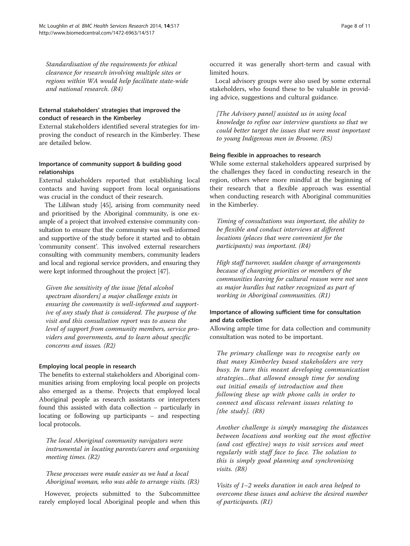Standardisation of the requirements for ethical clearance for research involving multiple sites or regions within WA would help facilitate state-wide and national research. (R4)

## External stakeholders' strategies that improved the conduct of research in the Kimberley

External stakeholders identified several strategies for improving the conduct of research in the Kimberley. These are detailed below.

## Importance of community support & building good relationships

External stakeholders reported that establishing local contacts and having support from local organisations was crucial in the conduct of their research.

The Lililwan study [[45](#page-10-0)], arising from community need and prioritised by the Aboriginal community, is one example of a project that involved extensive community consultation to ensure that the community was well-informed and supportive of the study before it started and to obtain 'community consent'. This involved external researchers consulting with community members, community leaders and local and regional service providers, and ensuring they were kept informed throughout the project [\[47\]](#page-10-0).

Given the sensitivity of the issue [fetal alcohol spectrum disorders] a major challenge exists in ensuring the community is well-informed and supportive of any study that is considered. The purpose of the visit and this consultation report was to assess the level of support from community members, service providers and governments, and to learn about specific concerns and issues. (R2)

## Employing local people in research

The benefits to external stakeholders and Aboriginal communities arising from employing local people on projects also emerged as a theme. Projects that employed local Aboriginal people as research assistants or interpreters found this assisted with data collection – particularly in locating or following up participants – and respecting local protocols.

The local Aboriginal community navigators were instrumental in locating parents/carers and organising meeting times. (R2)

These processes were made easier as we had a local Aboriginal woman, who was able to arrange visits. (R3)

However, projects submitted to the Subcommittee rarely employed local Aboriginal people and when this occurred it was generally short-term and casual with limited hours.

Local advisory groups were also used by some external stakeholders, who found these to be valuable in providing advice, suggestions and cultural guidance.

[The Advisory panel] assisted us in using local knowledge to refine our interview questions so that we could better target the issues that were most important to young Indigenous men in Broome. (R5)

## Being flexible in approaches to research

While some external stakeholders appeared surprised by the challenges they faced in conducting research in the region, others where more mindful at the beginning of their research that a flexible approach was essential when conducting research with Aboriginal communities in the Kimberley.

Timing of consultations was important, the ability to be flexible and conduct interviews at different locations (places that were convenient for the participants) was important. (R4)

High staff turnover, sudden change of arrangements because of changing priorities or members of the communities leaving for cultural reason were not seen as major hurdles but rather recognized as part of working in Aboriginal communities. (R1)

## Importance of allowing sufficient time for consultation and data collection

Allowing ample time for data collection and community consultation was noted to be important.

The primary challenge was to recognise early on that many Kimberley based stakeholders are very busy. In turn this meant developing communication strategies…that allowed enough time for sending out initial emails of introduction and then following these up with phone calls in order to connect and discuss relevant issues relating to [the study].  $(R8)$ 

Another challenge is simply managing the distances between locations and working out the most effective (and cost effective) ways to visit services and meet regularly with staff face to face. The solution to this is simply good planning and synchronising visits. (R8)

Visits of 1–2 weeks duration in each area helped to overcome these issues and achieve the desired number of participants. (R1)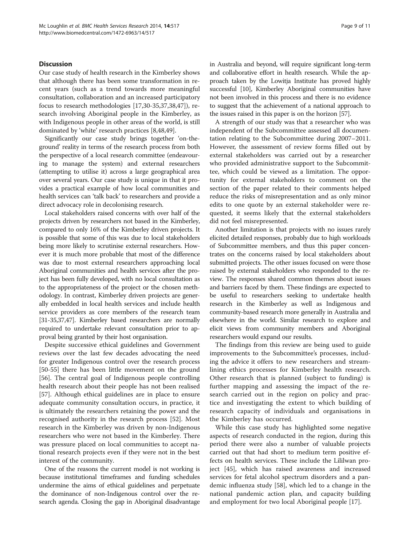## Discussion

Our case study of health research in the Kimberley shows that although there has been some transformation in recent years (such as a trend towards more meaningful consultation, collaboration and an increased participatory focus to research methodologies [\[17](#page-9-0)[,30-35,37,38,47](#page-10-0)]), research involving Aboriginal people in the Kimberley, as with Indigenous people in other areas of the world, is still dominated by 'white' research practices [\[8](#page-9-0)[,48,49\]](#page-10-0).

Significantly our case study brings together 'on-theground' reality in terms of the research process from both the perspective of a local research committee (endeavouring to manage the system) and external researchers (attempting to utilise it) across a large geographical area over several years. Our case study is unique in that it provides a practical example of how local communities and health services can 'talk back' to researchers and provide a direct advocacy role in decolonising research.

Local stakeholders raised concerns with over half of the projects driven by researchers not based in the Kimberley, compared to only 16% of the Kimberley driven projects. It is possible that some of this was due to local stakeholders being more likely to scrutinise external researchers. However it is much more probable that most of the difference was due to most external researchers approaching local Aboriginal communities and health services after the project has been fully developed, with no local consultation as to the appropriateness of the project or the chosen methodology. In contrast, Kimberley driven projects are generally embedded in local health services and include health service providers as core members of the research team [[31](#page-10-0)-[35,37,47](#page-10-0)]. Kimberley based researchers are normally required to undertake relevant consultation prior to approval being granted by their host organisation.

Despite successive ethical guidelines and Government reviews over the last few decades advocating the need for greater Indigenous control over the research process [[50-55](#page-10-0)] there has been little movement on the ground [[56\]](#page-10-0). The central goal of Indigenous people controlling health research about their people has not been realised [[57\]](#page-10-0). Although ethical guidelines are in place to ensure adequate community consultation occurs, in practice, it is ultimately the researchers retaining the power and the recognised authority in the research process [\[52](#page-10-0)]. Most research in the Kimberley was driven by non-Indigenous researchers who were not based in the Kimberley. There was pressure placed on local communities to accept national research projects even if they were not in the best interest of the community.

One of the reasons the current model is not working is because institutional timeframes and funding schedules undermine the aims of ethical guidelines and perpetuate the dominance of non-Indigenous control over the research agenda. Closing the gap in Aboriginal disadvantage in Australia and beyond, will require significant long-term and collaborative effort in health research. While the approach taken by the Lowitja Institute has proved highly successful [\[10](#page-9-0)], Kimberley Aboriginal communities have not been involved in this process and there is no evidence to suggest that the achievement of a national approach to the issues raised in this paper is on the horizon [[57](#page-10-0)].

A strength of our study was that a researcher who was independent of the Subcommittee assessed all documentation relating to the Subcommittee during 2007–2011. However, the assessment of review forms filled out by external stakeholders was carried out by a researcher who provided administrative support to the Subcommittee, which could be viewed as a limitation. The opportunity for external stakeholders to comment on the section of the paper related to their comments helped reduce the risks of misrepresentation and as only minor edits to one quote by an external stakeholder were requested, it seems likely that the external stakeholders did not feel misrepresented.

Another limitation is that projects with no issues rarely elicited detailed responses, probably due to high workloads of Subcommittee members, and thus this paper concentrates on the concerns raised by local stakeholders about submitted projects. The other issues focused on were those raised by external stakeholders who responded to the review. The responses shared common themes about issues and barriers faced by them. These findings are expected to be useful to researchers seeking to undertake health research in the Kimberley as well as Indigenous and community-based research more generally in Australia and elsewhere in the world. Similar research to explore and elicit views from community members and Aboriginal researchers would expand our results.

The findings from this review are being used to guide improvements to the Subcommittee's processes, including the advice it offers to new researchers and streamlining ethics processes for Kimberley health research. Other research that is planned (subject to funding) is further mapping and assessing the impact of the research carried out in the region on policy and practice and investigating the extent to which building of research capacity of individuals and organisations in the Kimberley has occurred.

While this case study has highlighted some negative aspects of research conducted in the region, during this period there were also a number of valuable projects carried out that had short to medium term positive effects on health services. These include the Lililwan project [[45\]](#page-10-0), which has raised awareness and increased services for fetal alcohol spectrum disorders and a pandemic influenza study [[58\]](#page-10-0), which led to a change in the national pandemic action plan, and capacity building and employment for two local Aboriginal people [\[17](#page-9-0)].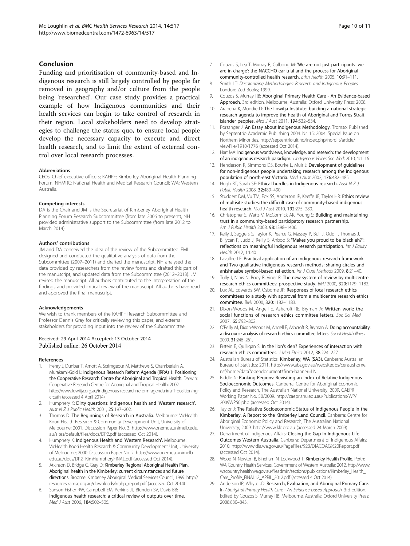## <span id="page-9-0"></span>Conclusion

Funding and prioritisation of community-based and Indigenous research is still largely controlled by people far removed in geography and/or culture from the people being 'researched'. Our case study provides a practical example of how Indigenous communities and their health services can begin to take control of research in their region. Local stakeholders need to develop strategies to challenge the status quo, to ensure local people develop the necessary capacity to execute and direct health research, and to limit the extent of external control over local research processes.

#### Abbreviations

CEOs: Chief executive officers; KAHPF: Kimberley Aboriginal Health Planning Forum; NHMRC: National Health and Medical Research Council; WA: Western Australia.

#### Competing interests

DA is the Chair and JM is the Secretariat of Kimberley Aboriginal Health Planning Forum Research Subcommittee (from late 2006 to present), NH provided administrative support to the Subcommittee (from late 2012 to March 2014).

#### Authors' contributions

JM and DA conceived the idea of the review of the Subcommittee. FML designed and conducted the qualitative analysis of data from the Subcommittee (2007–2011) and drafted the manuscript. NH analysed the data provided by researchers from the review forms and drafted this part of the manuscript, and updated data from the Subcommittee (2012–2013). JM revised the manuscript. All authors contributed to the interpretation of the findings and provided critical review of the manuscript. All authors have read and approved the final manuscript.

#### Acknowledgements

We wish to thank members of the KAHPF Research Subcommittee and Professor Dennis Gray for critically reviewing this paper, and external stakeholders for providing input into the review of the Subcommittee.

#### Received: 29 April 2014 Accepted: 13 October 2014 Published online: 26 October 2014

#### References

- 1. Henry J, Dunbar T, Arnott A, Scrimgeour M, Matthews S, Chamberlain A, Murakami-Gold L: Indigenous Research Reform Agenda (IRRA) 1: Positioning the Cooperative Research Centre for Aboriginal and Tropical Health. Darwin: Cooperative Research Centre for Aboriginal and Tropical Health; 2002. [http://www.lowitja.org.au/indigenous-research-reform-agenda-irra-1-positioning](http://www.lowitja.org.au/indigenous-research-reform-agenda-irra-1-positioning-crcath)[crcath](http://www.lowitja.org.au/indigenous-research-reform-agenda-irra-1-positioning-crcath) (accessed 4 April 2014).
- 2. Humphery K: Dirty questions: Indigenous health and 'Western research'. Aust N Z J Public Health 2001, 25:197–202.
- 3. Thomas D: The Beginnings of Research in Australia. Melbourne: VicHealth Koori Health Research & Community Development Unit, University of Melbourne; 2001. Discussion Paper No. 3. [http://www.onemda.unimelb.edu.](http://www.onemda.unimelb.edu.au/sites/default/files/docs/DP2.pdf) [au/sites/default/files/docs/DP2.pdf](http://www.onemda.unimelb.edu.au/sites/default/files/docs/DP2.pdf) (accessed Oct 2014).
- Humphery K: Indigenous Health and 'Western Research'. Melbourne: VicHealth Koori Health Research & Community Development Unit, University of Melbourne; 2000. Discussion Paper No. 2. [http://www.onemda.unimelb.](http://www.onemda.unimelb.edu.au/docs/DP2_KimHumpheryFINAL.pdf) [edu.au/docs/DP2\\_KimHumpheryFINAL.pdf](http://www.onemda.unimelb.edu.au/docs/DP2_KimHumpheryFINAL.pdf) (accessed Oct 2014).
- 5. Atkinson D, Bridge C, Gray D: Kimberley Regional Aboriginal Health Plan. Aboriginal health in the Kimberley: current circumstances and future directions. Broome: Kimberley Aboriginal Medical Services Council; 1999. [http://](http://resources.kamsc.org.au/downloads/krahp_report.pdf) [resources.kamsc.org.au/downloads/krahp\\_report.pdf](http://resources.kamsc.org.au/downloads/krahp_report.pdf) (accessed Oct 2014).
- 6. Sanson-Fisher RW, Campbell EM, Perkins JJ, Blunden SV, Davis BB: Indigenous health research: a critical review of outputs over time. Med J Aust 2006, 184:502–505.
- 7. Couzos S, Lea T, Murray R, Culbong M: 'We are not just participants-we are in charge': the NACCHO ear trial and the process for Aboriginal community-controlled health research. Ethn Health 2005, 10:91–111.
- Smith LT: Decolonizing Methodologies: Research and Indigenous Peoples. London: Zed Books; 1999.
- Couzos S, Murray RB: Aboriginal Primary Health Care An Evidence-based Approach. 3rd edition. Melbourne, Australia: Oxford University Press; 2008.
- 10. Arabena K, Moodie D: The Lowitja Institute: building a national strategic research agenda to improve the health of Aboriginal and Torres Strait Islander peoples. Med J Aust 2011, 194:532–534.
- 11. Porsanger J: An Essay about Indigenous Methodology. Tromso: Published by Septentrio Academic Publishing 2004. Nr. 15; 2004. Special Issue on Northern Minorities. [http://septentrio.uit.no/index.php/nordlit/article/](http://septentrio.uit.no/index.php/nordlit/article/viewFile/1910/1776) [viewFile/1910/1776](http://septentrio.uit.no/index.php/nordlit/article/viewFile/1910/1776) (accessed Oct 2014).
- 12. Hart MA: Indigenous worldviews, knowledge, and research: the development of an indigenous research paradigm. J Indigenous Voices Soc Work 2010, 1:1–16.
- 13. Henderson R, Simmons DS, Bourke L, Muir J: Development of guidelines for non-indigenous people undertaking research among the indigenous population of north-east Victoria. Med J Aust 2002, 176:482–485.
- 14. Hugh RT, Sarah SF: Ethical hurdles in Indigenous research. Aust N Z J Public Health 2008, 32:489–490.
- 15. Studdert DM, Vu TM, Fox SS, Anderson IP, Keeffe JE, Taylor HR: Ethics review of multisite studies: the difficult case of community-based indigenous health research. Med J Aust 2010, 192:275–280.
- 16. Christopher S, Watts V, McCormick AK, Young S: Building and maintaining trust in a community-based participatory research partnership. Am J Public Health 2008, 98:1398–1406.
- 17. Kelly J, Saggers S, Taylor K, Pearce G, Massey P, Bull J, Odo T, Thomas J, Billycan R, Judd J, Reilly S, Ahboo S: "Makes you proud to be black eh?": reflections on meaningful indigenous research participation. Int J Equity Health 2012, 11:40.
- 18. Lavallee LF: Practical application of an indigenous research framework and Two qualitative indigenous research methods: sharing circles and anishnaabe symbol-based reflection. Int J Qual Methods 2009, 8:21-40.
- 19. Tully J, Ninis N, Booy R, Viner R: The new system of review by multicentre research ethics committees: prospective study. BMJ 2000, 320:1179–1182.
- 20. Lux AL, Edwards SW, Osborne JP: Responses of local research ethics committees to a study with approval from a multicentre research ethics committee. BMJ 2000, 320:1182–1183.
- 21. Dixon-Woods M, Angell E, Ashcroft RE, Bryman A: Written work: the social functions of research ethics committee letters. Soc Sci Med 2007, 65:792–802.
- 22. O'Reilly M, Dixon-Woods M, Angell E, Ashcroft R, Bryman A: Doing accountability: a discourse analysis of research ethics committee letters. Sociol Health Illness 2009, 31:246–261.
- 23. Fistein E, Quilligan S: In the lion's den? Experiences of interaction with research ethics committees. J Med Ethics 2012, 38:224–227.
- 24. Australian Bureau of Statistics: Kimberley, WA (SA3). Canberra: Australian Bureau of Statistics; 2011. [http://www.abs.gov.au/websitedbs/censushome.](http://www.abs.gov.au/websitedbs/censushome.nsf/home/data?opendocument#from-banner=LN) [nsf/home/data?opendocument#from-banner=LN.](http://www.abs.gov.au/websitedbs/censushome.nsf/home/data?opendocument#from-banner=LN)
- 25. Biddle N: Ranking Regions: Revisiting an Index of Relative Indigenous Socioeconomic Outcomes. Canberra: Centre for Aboriginal Economic Policy and Research, The Australian National University; 2009. CAEPR Working Paper No. 50/2009. [http://caepr.anu.edu.au/Publications/WP/](http://caepr.anu.edu.au/Publications/WP/2009WP50.php) [2009WP50.php](http://caepr.anu.edu.au/Publications/WP/2009WP50.php) (accessed Oct 2014).
- 26. Taylor J: The Relative Socioeconomic Status of Indigenous People in the Kimberley. A Report to the Kimberley Land Council. Canberra: Centre for Aboriginal Economic Policy and Research, The Australian National University; 2009.<http://www.klc.org.au> (accessed 24 March 2009).
- 27. Department of Indigenous Affairs: Closing the Gap In Indigenous Life Outcomes Western Australia. Canberra: Department of Indigenous Affairs; 2010.<http://www.dia.wa.gov.au/PageFiles/923/DIACOAG%20Report.pdf> (accessed Oct 2014).
- Wood N, Newton B, Bineham N, Lockwood T: Kimberley Health Profile. Perth: WA Country Health Services, Government of Western Australia; 2012. [http://www.](http://www.wacountry.health.wa.gov.au/fileadmin/sections/publications/Kimberley_Health_Care_Profile_FINAL12_APRIL_2012.pdf) [wacountry.health.wa.gov.au/fileadmin/sections/publications/Kimberley\\_Health\\_](http://www.wacountry.health.wa.gov.au/fileadmin/sections/publications/Kimberley_Health_Care_Profile_FINAL12_APRIL_2012.pdf) [Care\\_Profile\\_FINAL12\\_APRIL\\_2012.pdf](http://www.wacountry.health.wa.gov.au/fileadmin/sections/publications/Kimberley_Health_Care_Profile_FINAL12_APRIL_2012.pdf) (accessed 4 Oct 2014).
- 29. Anderson IP, Whyte JD: Research, Evaluation, and Aboriginal Primary Care. In Aboriginal Primary Health Care - An Evidence-based Approach. 3rd edition. Edited by Couzos S, Murray RB. Melbourne, Australia: Oxford University Press; 2008:830–843.